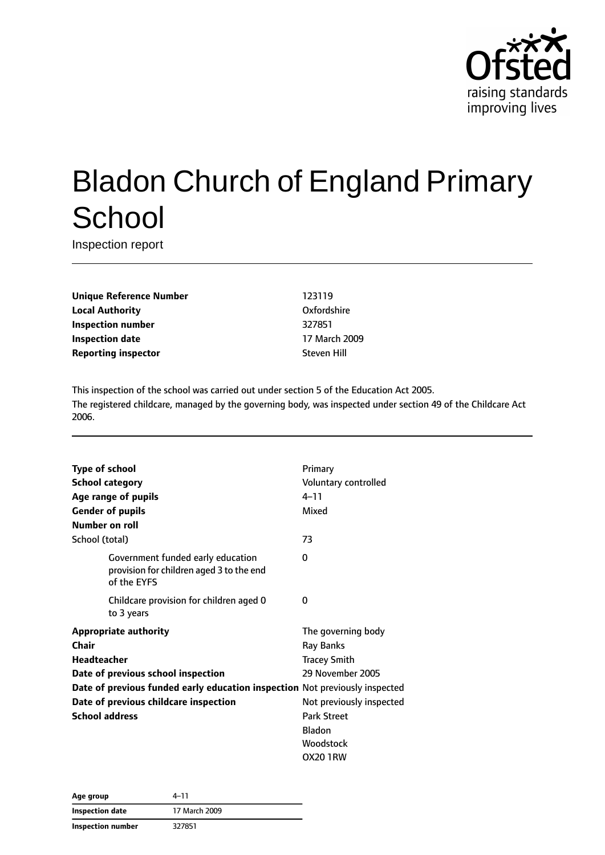

# Bladon Church of England Primary **School**

Inspection report

**Unique Reference Number** 123119 **Local Authority COMPOSE COMPOSE COMPOSE CONTRACT OXFORDShire Inspection number** 327851 **Inspection date** 17 March 2009 **Reporting inspector** Steven Hill

This inspection of the school was carried out under section 5 of the Education Act 2005. The registered childcare, managed by the governing body, was inspected under section 49 of the Childcare Act 2006.

| <b>Type of school</b>                                                       |                                                                                              | Primary                  |
|-----------------------------------------------------------------------------|----------------------------------------------------------------------------------------------|--------------------------|
| <b>School category</b>                                                      |                                                                                              | Voluntary controlled     |
|                                                                             | Age range of pupils                                                                          | $4 - 11$                 |
|                                                                             | <b>Gender of pupils</b>                                                                      | Mixed                    |
| Number on roll                                                              |                                                                                              |                          |
| School (total)                                                              |                                                                                              | 73                       |
|                                                                             | Government funded early education<br>provision for children aged 3 to the end<br>of the EYFS | 0                        |
|                                                                             | Childcare provision for children aged 0<br>to 3 years                                        | 0                        |
| <b>Appropriate authority</b>                                                |                                                                                              | The governing body       |
| Chair                                                                       |                                                                                              | Ray Banks                |
| <b>Headteacher</b>                                                          |                                                                                              | <b>Tracey Smith</b>      |
|                                                                             | Date of previous school inspection                                                           | 29 November 2005         |
| Date of previous funded early education inspection Not previously inspected |                                                                                              |                          |
| Date of previous childcare inspection                                       |                                                                                              | Not previously inspected |
| <b>School address</b>                                                       |                                                                                              | <b>Park Street</b>       |
|                                                                             |                                                                                              | <b>Bladon</b>            |
|                                                                             |                                                                                              | Woodstock                |
|                                                                             |                                                                                              | OX20 1RW                 |

| Age group         | 4–11          |
|-------------------|---------------|
| Inspection date   | 17 March 2009 |
| Inspection number | 327851        |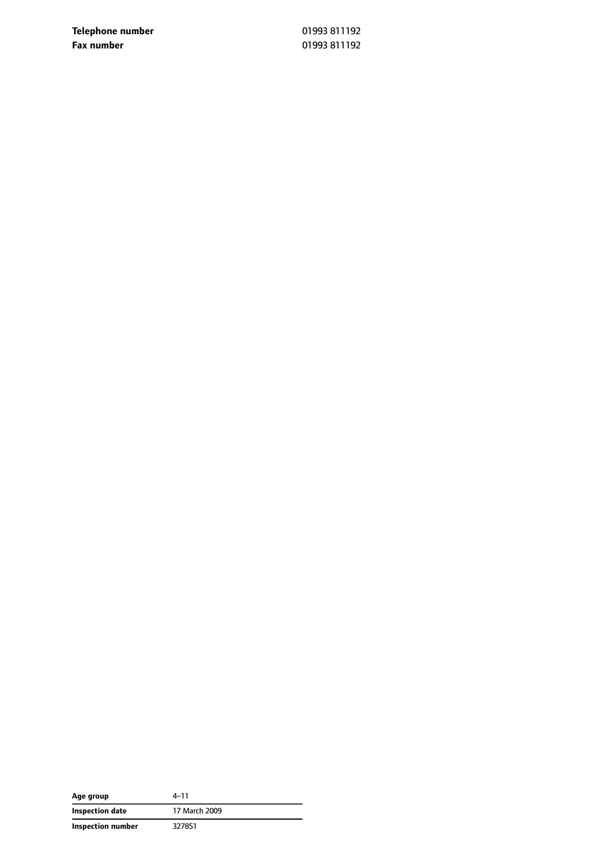**Telephone number** 01993 811192 **Fax number** 01993 811192

| Age group         | 4-11          |
|-------------------|---------------|
| Inspection date   | 17 March 2009 |
| Inspection number | 327851        |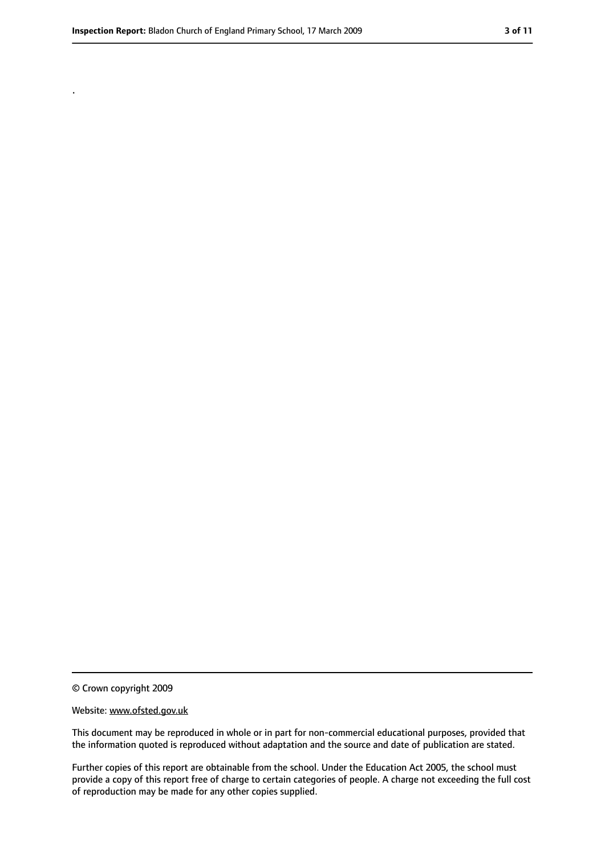.

<sup>©</sup> Crown copyright 2009

Website: www.ofsted.gov.uk

This document may be reproduced in whole or in part for non-commercial educational purposes, provided that the information quoted is reproduced without adaptation and the source and date of publication are stated.

Further copies of this report are obtainable from the school. Under the Education Act 2005, the school must provide a copy of this report free of charge to certain categories of people. A charge not exceeding the full cost of reproduction may be made for any other copies supplied.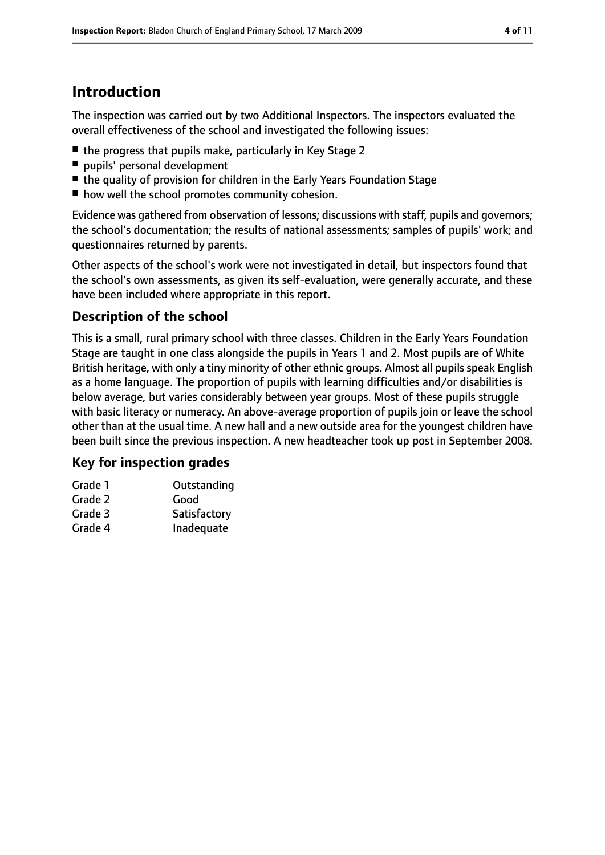## **Introduction**

The inspection was carried out by two Additional Inspectors. The inspectors evaluated the overall effectiveness of the school and investigated the following issues:

- the progress that pupils make, particularly in Key Stage 2
- pupils' personal development
- the quality of provision for children in the Early Years Foundation Stage
- how well the school promotes community cohesion.

Evidence was gathered from observation of lessons; discussions with staff, pupils and governors; the school's documentation; the results of national assessments; samples of pupils' work; and questionnaires returned by parents.

Other aspects of the school's work were not investigated in detail, but inspectors found that the school's own assessments, as given its self-evaluation, were generally accurate, and these have been included where appropriate in this report.

### **Description of the school**

This is a small, rural primary school with three classes. Children in the Early Years Foundation Stage are taught in one class alongside the pupils in Years 1 and 2. Most pupils are of White British heritage, with only a tiny minority of other ethnic groups. Almost all pupils speak English as a home language. The proportion of pupils with learning difficulties and/or disabilities is below average, but varies considerably between year groups. Most of these pupils struggle with basic literacy or numeracy. An above-average proportion of pupils join or leave the school other than at the usual time. A new hall and a new outside area for the youngest children have been built since the previous inspection. A new headteacher took up post in September 2008.

#### **Key for inspection grades**

| Grade 1 | Outstanding  |
|---------|--------------|
| Grade 2 | Good         |
| Grade 3 | Satisfactory |
| Grade 4 | Inadequate   |
|         |              |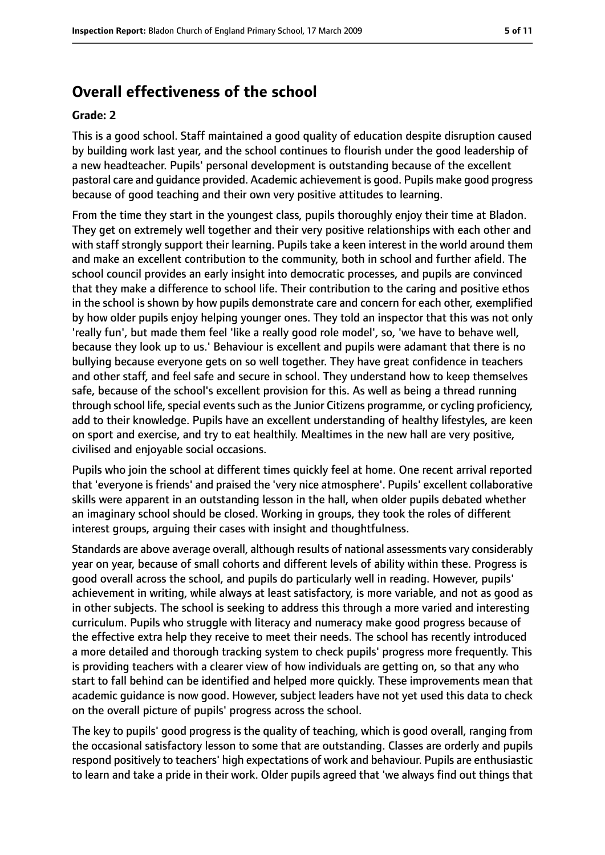### **Overall effectiveness of the school**

#### **Grade: 2**

This is a good school. Staff maintained a good quality of education despite disruption caused by building work last year, and the school continues to flourish under the good leadership of a new headteacher. Pupils' personal development is outstanding because of the excellent pastoral care and guidance provided. Academic achievement is good. Pupils make good progress because of good teaching and their own very positive attitudes to learning.

From the time they start in the youngest class, pupils thoroughly enjoy their time at Bladon. They get on extremely well together and their very positive relationships with each other and with staff strongly support their learning. Pupils take a keen interest in the world around them and make an excellent contribution to the community, both in school and further afield. The school council provides an early insight into democratic processes, and pupils are convinced that they make a difference to school life. Their contribution to the caring and positive ethos in the school is shown by how pupils demonstrate care and concern for each other, exemplified by how older pupils enjoy helping younger ones. They told an inspector that this was not only 'really fun', but made them feel 'like a really good role model', so, 'we have to behave well, because they look up to us.' Behaviour is excellent and pupils were adamant that there is no bullying because everyone gets on so well together. They have great confidence in teachers and other staff, and feel safe and secure in school. They understand how to keep themselves safe, because of the school's excellent provision for this. As well as being a thread running through school life, special events such as the Junior Citizens programme, or cycling proficiency, add to their knowledge. Pupils have an excellent understanding of healthy lifestyles, are keen on sport and exercise, and try to eat healthily. Mealtimes in the new hall are very positive, civilised and enjoyable social occasions.

Pupils who join the school at different times quickly feel at home. One recent arrival reported that 'everyone is friends' and praised the 'very nice atmosphere'. Pupils' excellent collaborative skills were apparent in an outstanding lesson in the hall, when older pupils debated whether an imaginary school should be closed. Working in groups, they took the roles of different interest groups, arguing their cases with insight and thoughtfulness.

Standards are above average overall, although results of national assessments vary considerably year on year, because of small cohorts and different levels of ability within these. Progress is good overall across the school, and pupils do particularly well in reading. However, pupils' achievement in writing, while always at least satisfactory, is more variable, and not as good as in other subjects. The school is seeking to address this through a more varied and interesting curriculum. Pupils who struggle with literacy and numeracy make good progress because of the effective extra help they receive to meet their needs. The school has recently introduced a more detailed and thorough tracking system to check pupils' progress more frequently. This is providing teachers with a clearer view of how individuals are getting on, so that any who start to fall behind can be identified and helped more quickly. These improvements mean that academic guidance is now good. However, subject leaders have not yet used this data to check on the overall picture of pupils' progress across the school.

The key to pupils' good progress is the quality of teaching, which is good overall, ranging from the occasional satisfactory lesson to some that are outstanding. Classes are orderly and pupils respond positively to teachers' high expectations of work and behaviour. Pupils are enthusiastic to learn and take a pride in their work. Older pupils agreed that 'we always find out things that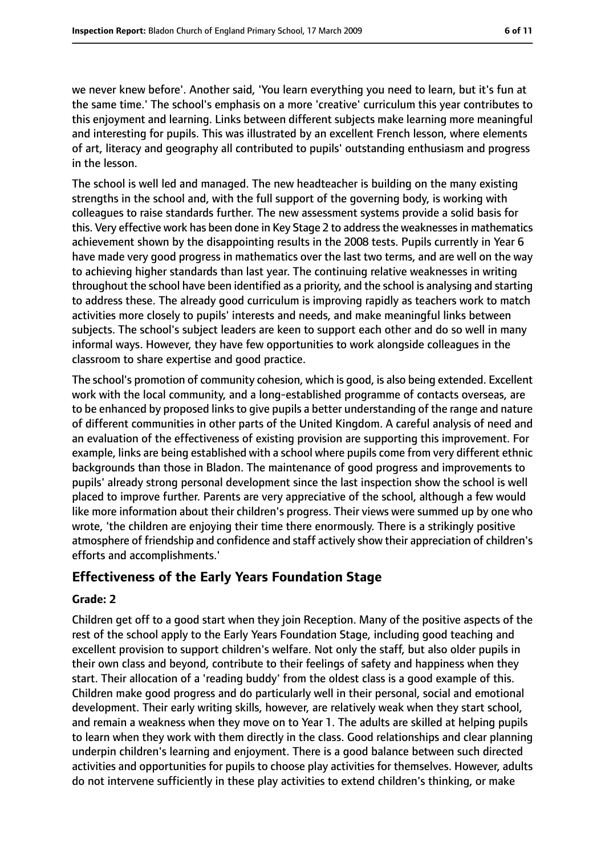we never knew before'. Another said, 'You learn everything you need to learn, but it's fun at the same time.' The school's emphasis on a more 'creative' curriculum this year contributes to this enjoyment and learning. Links between different subjects make learning more meaningful and interesting for pupils. This was illustrated by an excellent French lesson, where elements of art, literacy and geography all contributed to pupils' outstanding enthusiasm and progress in the lesson.

The school is well led and managed. The new headteacher is building on the many existing strengths in the school and, with the full support of the governing body, is working with colleagues to raise standards further. The new assessment systems provide a solid basis for this. Very effective work has been done in Key Stage 2 to address the weaknesses in mathematics achievement shown by the disappointing results in the 2008 tests. Pupils currently in Year 6 have made very good progress in mathematics over the last two terms, and are well on the way to achieving higher standards than last year. The continuing relative weaknesses in writing throughout the school have been identified as a priority, and the school is analysing and starting to address these. The already good curriculum is improving rapidly as teachers work to match activities more closely to pupils' interests and needs, and make meaningful links between subjects. The school's subject leaders are keen to support each other and do so well in many informal ways. However, they have few opportunities to work alongside colleagues in the classroom to share expertise and good practice.

The school's promotion of community cohesion, which is good, is also being extended. Excellent work with the local community, and a long-established programme of contacts overseas, are to be enhanced by proposed links to give pupils a better understanding of the range and nature of different communities in other parts of the United Kingdom. A careful analysis of need and an evaluation of the effectiveness of existing provision are supporting this improvement. For example, links are being established with a school where pupils come from very different ethnic backgrounds than those in Bladon. The maintenance of good progress and improvements to pupils' already strong personal development since the last inspection show the school is well placed to improve further. Parents are very appreciative of the school, although a few would like more information about their children's progress. Their views were summed up by one who wrote, 'the children are enjoying their time there enormously. There is a strikingly positive atmosphere of friendship and confidence and staff actively show their appreciation of children's efforts and accomplishments.'

### **Effectiveness of the Early Years Foundation Stage**

#### **Grade: 2**

Children get off to a good start when they join Reception. Many of the positive aspects of the rest of the school apply to the Early Years Foundation Stage, including good teaching and excellent provision to support children's welfare. Not only the staff, but also older pupils in their own class and beyond, contribute to their feelings of safety and happiness when they start. Their allocation of a 'reading buddy' from the oldest class is a good example of this. Children make good progress and do particularly well in their personal, social and emotional development. Their early writing skills, however, are relatively weak when they start school, and remain a weakness when they move on to Year 1. The adults are skilled at helping pupils to learn when they work with them directly in the class. Good relationships and clear planning underpin children's learning and enjoyment. There is a good balance between such directed activities and opportunities for pupils to choose play activities for themselves. However, adults do not intervene sufficiently in these play activities to extend children's thinking, or make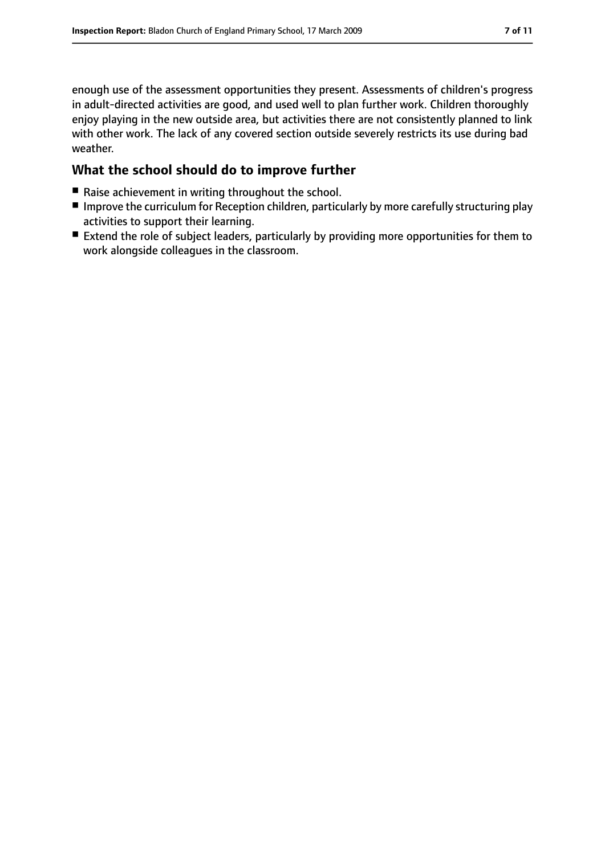enough use of the assessment opportunities they present. Assessments of children's progress in adult-directed activities are good, and used well to plan further work. Children thoroughly enjoy playing in the new outside area, but activities there are not consistently planned to link with other work. The lack of any covered section outside severely restricts its use during bad weather.

### **What the school should do to improve further**

- Raise achievement in writing throughout the school.
- Improve the curriculum for Reception children, particularly by more carefully structuring play activities to support their learning.
- Extend the role of subject leaders, particularly by providing more opportunities for them to work alongside colleagues in the classroom.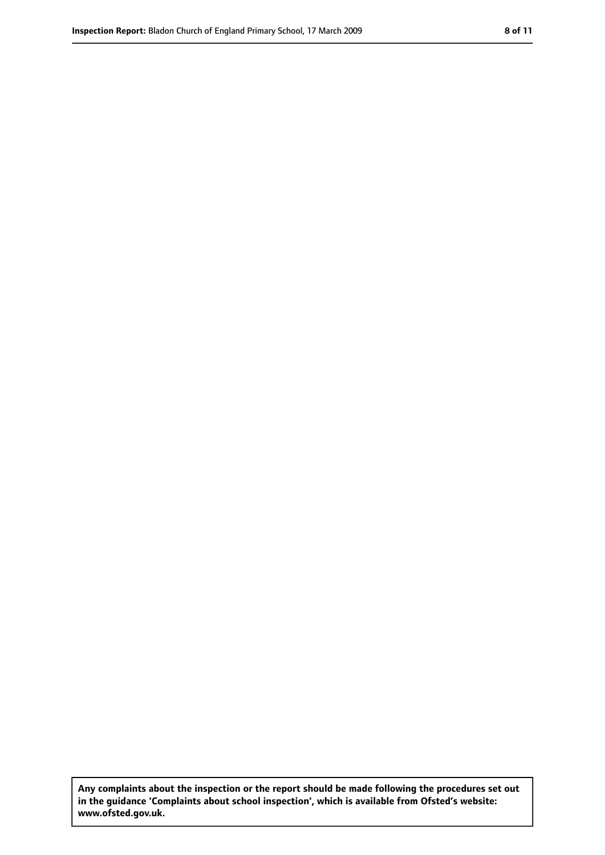**Any complaints about the inspection or the report should be made following the procedures set out in the guidance 'Complaints about school inspection', which is available from Ofsted's website: www.ofsted.gov.uk.**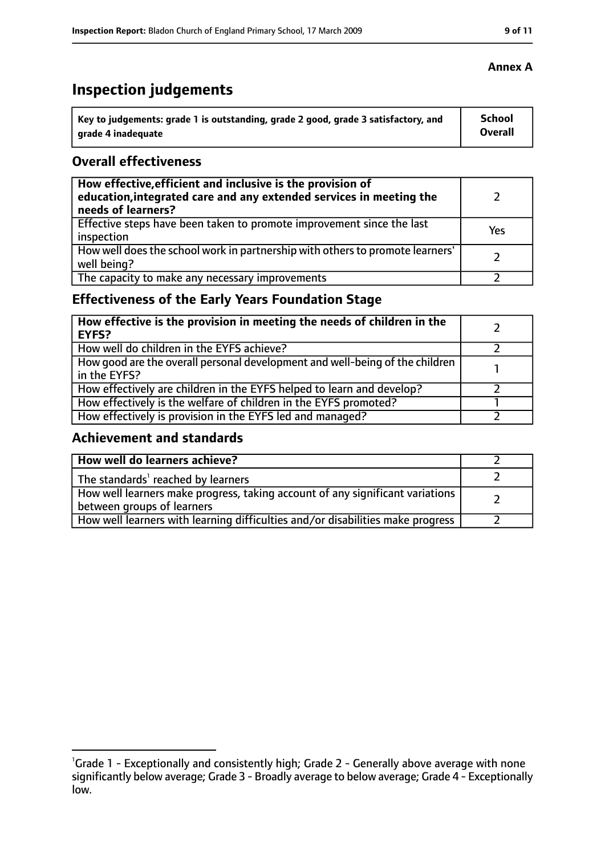# **Inspection judgements**

| Key to judgements: grade 1 is outstanding, grade 2 good, grade 3 satisfactory, and | School  |
|------------------------------------------------------------------------------------|---------|
| arade 4 inadequate                                                                 | Overall |

### **Overall effectiveness**

| How effective, efficient and inclusive is the provision of<br>education, integrated care and any extended services in meeting the<br>needs of learners? |     |
|---------------------------------------------------------------------------------------------------------------------------------------------------------|-----|
| Effective steps have been taken to promote improvement since the last<br>inspection                                                                     | Yes |
| How well does the school work in partnership with others to promote learners'<br>well being?                                                            |     |
| The capacity to make any necessary improvements                                                                                                         |     |

### **Effectiveness of the Early Years Foundation Stage**

| How effective is the provision in meeting the needs of children in the<br><b>EYFS?</b>       |  |
|----------------------------------------------------------------------------------------------|--|
| How well do children in the EYFS achieve?                                                    |  |
| How good are the overall personal development and well-being of the children<br>in the EYFS? |  |
| How effectively are children in the EYFS helped to learn and develop?                        |  |
| How effectively is the welfare of children in the EYFS promoted?                             |  |
| How effectively is provision in the EYFS led and managed?                                    |  |

### **Achievement and standards**

| How well do learners achieve?                                                                               |  |
|-------------------------------------------------------------------------------------------------------------|--|
| The standards <sup>1</sup> reached by learners                                                              |  |
| How well learners make progress, taking account of any significant variations<br>between groups of learners |  |
| How well learners with learning difficulties and/or disabilities make progress                              |  |

<sup>&</sup>lt;sup>1</sup>Grade 1 - Exceptionally and consistently high; Grade 2 - Generally above average with none significantly below average; Grade 3 - Broadly average to below average; Grade 4 - Exceptionally low.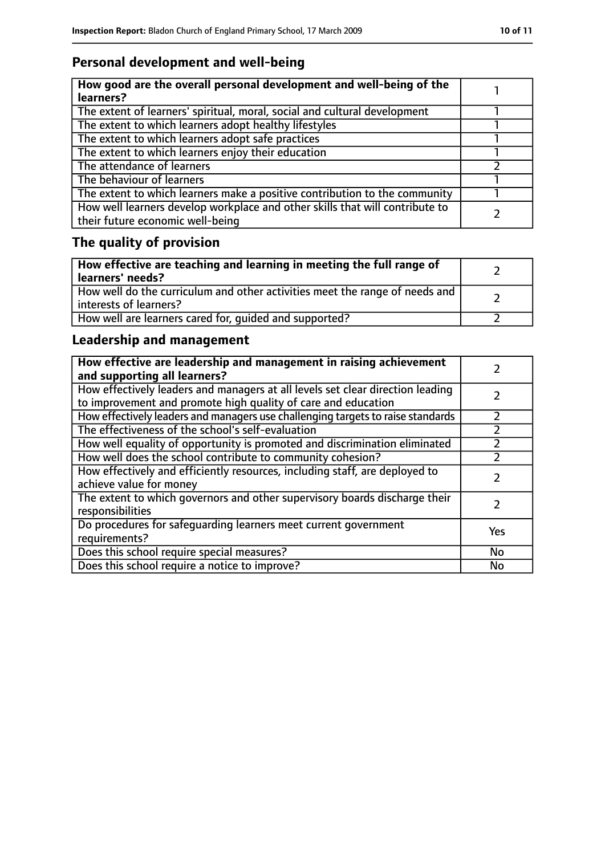### **Personal development and well-being**

| How good are the overall personal development and well-being of the<br>learners?                                 |  |
|------------------------------------------------------------------------------------------------------------------|--|
| The extent of learners' spiritual, moral, social and cultural development                                        |  |
| The extent to which learners adopt healthy lifestyles                                                            |  |
| The extent to which learners adopt safe practices                                                                |  |
| The extent to which learners enjoy their education                                                               |  |
| The attendance of learners                                                                                       |  |
| The behaviour of learners                                                                                        |  |
| The extent to which learners make a positive contribution to the community                                       |  |
| How well learners develop workplace and other skills that will contribute to<br>their future economic well-being |  |

# **The quality of provision**

| How effective are teaching and learning in meeting the full range of<br>learners' needs?              |  |
|-------------------------------------------------------------------------------------------------------|--|
| How well do the curriculum and other activities meet the range of needs and<br>interests of learners? |  |
| How well are learners cared for, quided and supported?                                                |  |

### **Leadership and management**

| How effective are leadership and management in raising achievement<br>and supporting all learners?                                              |           |
|-------------------------------------------------------------------------------------------------------------------------------------------------|-----------|
| How effectively leaders and managers at all levels set clear direction leading<br>to improvement and promote high quality of care and education |           |
| How effectively leaders and managers use challenging targets to raise standards                                                                 | フ         |
| The effectiveness of the school's self-evaluation                                                                                               |           |
| How well equality of opportunity is promoted and discrimination eliminated                                                                      |           |
| How well does the school contribute to community cohesion?                                                                                      |           |
| How effectively and efficiently resources, including staff, are deployed to<br>achieve value for money                                          |           |
| The extent to which governors and other supervisory boards discharge their<br>responsibilities                                                  |           |
| Do procedures for safequarding learners meet current government<br>requirements?                                                                | Yes       |
| Does this school require special measures?                                                                                                      | <b>No</b> |
| Does this school require a notice to improve?                                                                                                   | No        |